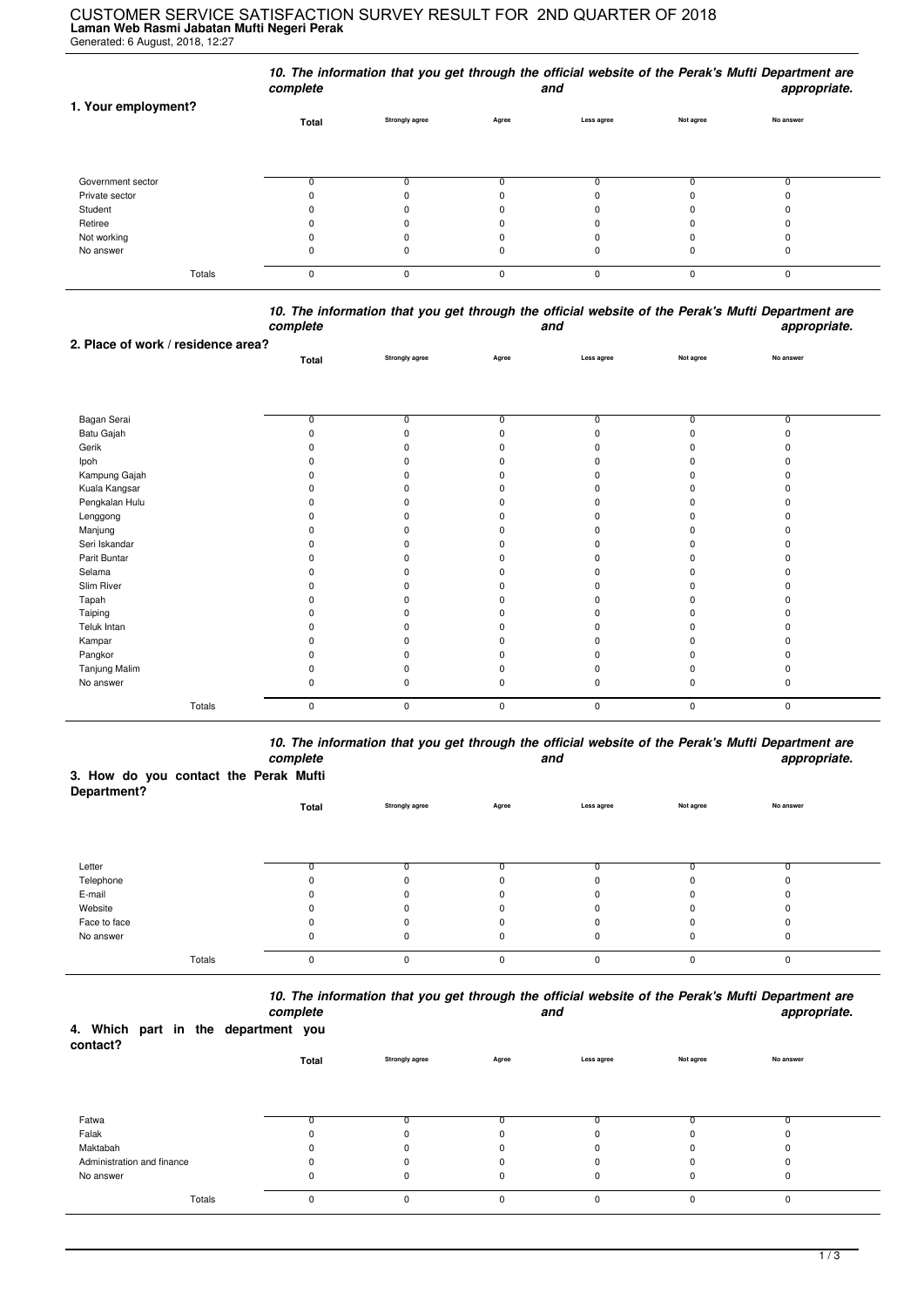## **Laman Web Rasmi Jabatan Mufti Negeri Perak** Generated: 6 August, 2018, 12:27 CUSTOMER SERVICE SATISFACTION SURVEY RESULT FOR 2ND QUARTER OF 2018

|                     | complete |                       |       | and        |           | 10. The information that you get through the official website of the Perak's Mufti Department are<br>appropriate. |
|---------------------|----------|-----------------------|-------|------------|-----------|-------------------------------------------------------------------------------------------------------------------|
| 1. Your employment? | Total    | <b>Strongly agree</b> | Agree | Less agree | Not agree | No answer                                                                                                         |
| Government sector   |          |                       |       |            |           |                                                                                                                   |
| Private sector      |          |                       |       |            |           |                                                                                                                   |
| Student             |          |                       |       |            |           |                                                                                                                   |
| Retiree             |          | 0                     | O     |            |           |                                                                                                                   |
| Not working         |          |                       |       |            |           |                                                                                                                   |
| No answer           | 0        | 0                     | 0     |            | 0         | 0                                                                                                                 |
| Totals              | 0        | 0                     | 0     |            | 0         | 0                                                                                                                 |

*10. The information that you get through the official website of the Perak's Mufti Department are complete and appropriate.*

|                | Total    | Strongly agree | Agree       | Less agree   | Not agree   | No answer |  |
|----------------|----------|----------------|-------------|--------------|-------------|-----------|--|
|                |          |                |             |              |             |           |  |
|                |          |                |             |              |             |           |  |
|                |          |                |             |              |             |           |  |
| Bagan Serai    | 0        | 0              |             | 0            | 0           | 0         |  |
| Batu Gajah     | $\Omega$ | $\Omega$       |             | $\Omega$     | U           | $\Omega$  |  |
| Gerik          |          |                |             |              |             |           |  |
| Ipoh           |          | <sup>0</sup>   |             |              |             |           |  |
| Kampung Gajah  | n        | <sup>0</sup>   |             |              | n           |           |  |
| Kuala Kangsar  |          | n              |             |              |             |           |  |
| Pengkalan Hulu |          |                |             |              | n           |           |  |
| Lenggong       |          |                |             |              |             |           |  |
| Manjung        |          |                |             |              |             |           |  |
| Seri Iskandar  |          | O              |             |              |             |           |  |
| Parit Buntar   |          | n              |             |              |             |           |  |
| Selama         | ŋ        | <sup>0</sup>   |             |              |             |           |  |
| Slim River     |          | n              |             |              |             |           |  |
| Tapah          |          |                |             |              |             |           |  |
| Taiping        | ŋ        | O              |             |              |             |           |  |
| Teluk Intan    | n        | O              |             |              |             |           |  |
| Kampar         |          | n              |             |              |             |           |  |
| Pangkor        | n        | O              |             |              |             |           |  |
| Tanjung Malim  | $\Omega$ | 0              |             |              | n           |           |  |
| No answer      | $\Omega$ | 0              |             | <sup>0</sup> | $\Omega$    | n         |  |
| Totals         | 0        | 0              | $\mathbf 0$ | $\pmb{0}$    | $\mathsf 0$ | $\pmb{0}$ |  |

*10. The information that you get through the official website of the Perak's Mufti Department are complete and appropriate.*

## **3. How do you contact the Perak Mufti**

**2. Place of work / residence area?**

| Department?  |       |                |             |            |           |           |  |
|--------------|-------|----------------|-------------|------------|-----------|-----------|--|
|              | Total | Strongly agree | Agree       | Less agree | Not agree | No answer |  |
|              |       |                |             |            |           |           |  |
|              |       |                |             |            |           |           |  |
|              |       |                |             |            |           |           |  |
| Letter       |       |                |             |            |           |           |  |
| Telephone    | 0     | 0              | 0           |            |           |           |  |
| E-mail       | 0     | $\Omega$       | 0           | O          |           |           |  |
| Website      | 0     | $\Omega$       | $\Omega$    | 0          |           |           |  |
| Face to face | 0     | 0              | 0           |            |           |           |  |
| No answer    | 0     | 0              | 0           | 0          |           | u         |  |
|              |       |                |             |            |           |           |  |
| Totals       | 0     | 0              | $\mathbf 0$ | $\Omega$   |           | $\Omega$  |  |

*10. The information that you get through the official website of the Perak's Mufti Department are*

|                                                 |        | complete |          |                       |             | and         |           | appropriate. |
|-------------------------------------------------|--------|----------|----------|-----------------------|-------------|-------------|-----------|--------------|
| 4. Which part in the department you<br>contact? |        |          |          |                       |             |             |           |              |
|                                                 |        |          | Total    | <b>Strongly agree</b> | Agree       | Less agree  | Not agree | No answer    |
|                                                 |        |          |          |                       |             |             |           |              |
| Fatwa                                           |        |          |          |                       |             |             |           |              |
| Falak                                           |        |          |          | ŋ                     | $\Omega$    |             |           |              |
|                                                 |        |          |          |                       |             |             |           |              |
| Maktabah                                        |        |          |          | 0                     | 0           |             |           | $\Omega$     |
| Administration and finance                      |        |          |          | U                     | $\Omega$    |             |           | 0            |
| No answer                                       |        |          | 0        | 0                     | $\mathbf 0$ | $\mathbf 0$ | 0         | $\mathbf 0$  |
|                                                 | Totals |          | $\Omega$ | 0                     | $\mathbf 0$ | $\Omega$    | $\Omega$  | $\mathbf 0$  |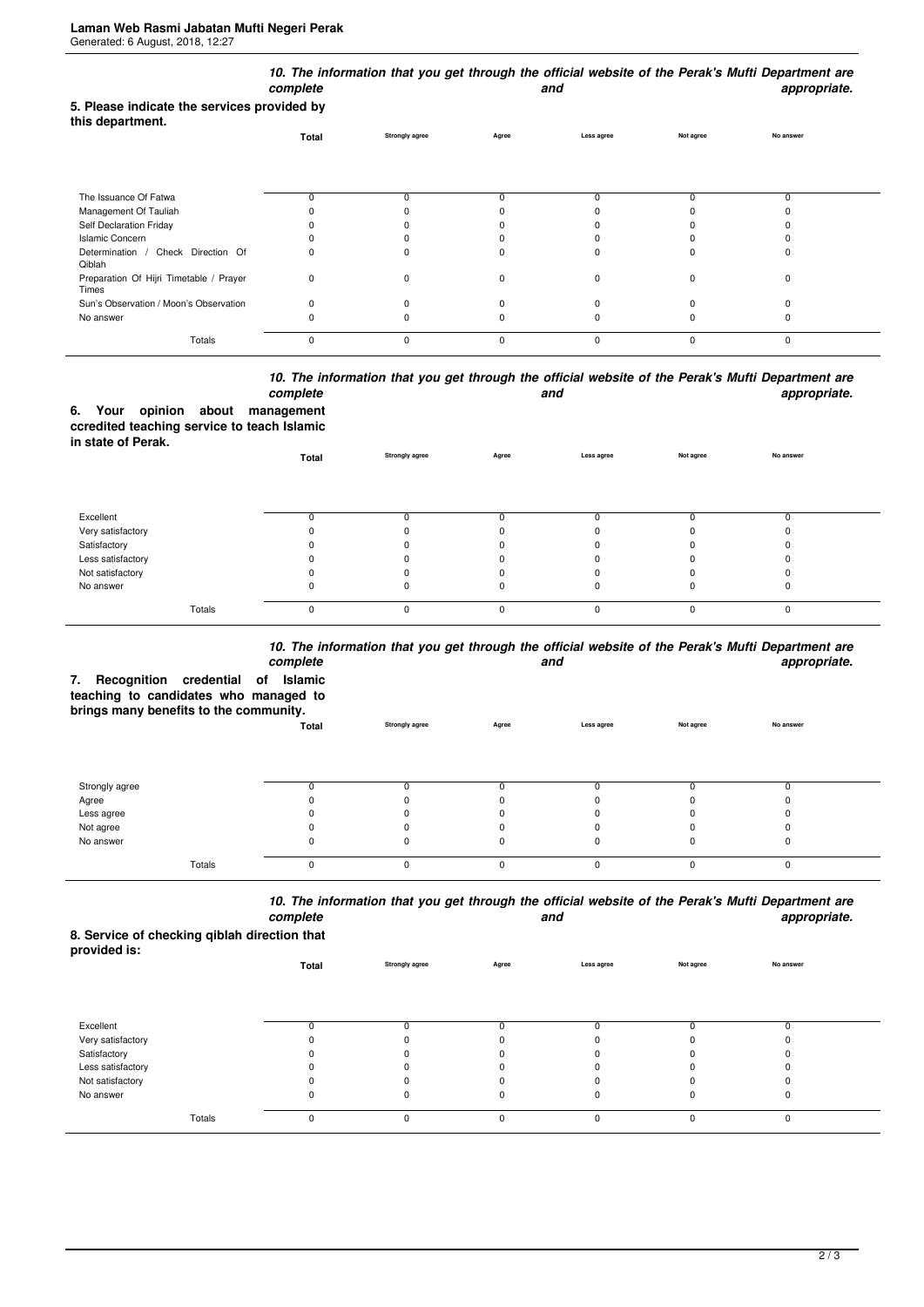| 5. Please indicate the services provided by      | complete |                       |          | and        |           | 10. The information that you get through the official website of the Perak's Mufti Department are<br>appropriate. |
|--------------------------------------------------|----------|-----------------------|----------|------------|-----------|-------------------------------------------------------------------------------------------------------------------|
| this department.                                 | Total    | <b>Strongly agree</b> | Agree    | Less agree | Not agree | No answer                                                                                                         |
| The Issuance Of Fatwa                            | 0        | 0                     | 0        |            | 0         | 0                                                                                                                 |
| Management Of Tauliah                            |          |                       |          |            |           |                                                                                                                   |
| Self Declaration Friday                          |          |                       |          |            |           |                                                                                                                   |
| <b>Islamic Concern</b>                           |          |                       |          |            |           |                                                                                                                   |
| Determination / Check Direction Of<br>Qiblah     | 0        | $\Omega$              | n        |            | C         | ŋ                                                                                                                 |
| Preparation Of Hijri Timetable / Prayer<br>Times | 0        | $\Omega$              | O        | $\Omega$   | $\Omega$  | $\Omega$                                                                                                          |
| Sun's Observation / Moon's Observation           | 0        | $\Omega$              |          |            |           |                                                                                                                   |
| No answer                                        | n        |                       |          |            |           | 0                                                                                                                 |
| Totals                                           | 0        | $\Omega$              | $\Omega$ | $\Omega$   | $\Omega$  | 0                                                                                                                 |

## *10. The information that you get through the official website of the Perak's Mufti Department are* **and** and **appropriate.**

|                    |  | complete                                    |
|--------------------|--|---------------------------------------------|
|                    |  | 6. Your opinion about management            |
|                    |  | ccredited teaching service to teach Islamic |
| in state of Perak. |  |                                             |

| <b> .</b>         | Total    | <b>Strongly agree</b> | Agree    | Less agree | Not agree | No answer |  |
|-------------------|----------|-----------------------|----------|------------|-----------|-----------|--|
|                   |          |                       |          |            |           |           |  |
| Excellent         |          |                       |          |            |           |           |  |
| Very satisfactory |          |                       | 0        |            |           |           |  |
| Satisfactory      |          |                       | 0        |            |           |           |  |
| Less satisfactory |          |                       | 0        |            |           |           |  |
| Not satisfactory  |          |                       | $\Omega$ |            |           |           |  |
| No answer         | 0        |                       | 0        |            | 0         |           |  |
| Totals            | $\Omega$ | $\Omega$              | $\Omega$ | ŋ          | O         |           |  |

## *10. The information that you get through the official website of the Perak's Mufti Department are*

|                                                                                                                    | complete |                       |          | and        |           | iv. The implificulture that you get through the only ar website of the Felax's multi-bepartment are<br>appropriate. |
|--------------------------------------------------------------------------------------------------------------------|----------|-----------------------|----------|------------|-----------|---------------------------------------------------------------------------------------------------------------------|
| Recognition credential of<br>7.<br>teaching to candidates who managed to<br>brings many benefits to the community. | Islamic  |                       |          |            |           |                                                                                                                     |
|                                                                                                                    | Total    | <b>Strongly agree</b> | Agree    | Less agree | Not agree | No answer                                                                                                           |
|                                                                                                                    |          |                       |          |            |           |                                                                                                                     |
| Strongly agree                                                                                                     | O        |                       |          |            |           |                                                                                                                     |
| Agree                                                                                                              |          |                       |          |            |           |                                                                                                                     |
| Less agree                                                                                                         |          |                       |          |            |           |                                                                                                                     |
| Not agree                                                                                                          |          |                       |          |            |           |                                                                                                                     |
| No answer                                                                                                          |          |                       |          |            |           |                                                                                                                     |
| Totals                                                                                                             | 0        |                       | $\Omega$ | 0          |           | $\Omega$                                                                                                            |

*10. The information that you get through the official website of the Perak's Mufti Department are complete and appropriate.*

**8. Service of checking qiblah direction that provided is:**

| provided is.      | Total | <b>Strongly agree</b> | Agree    | Less agree | Not agree | No answer |  |
|-------------------|-------|-----------------------|----------|------------|-----------|-----------|--|
|                   |       |                       |          |            |           |           |  |
| Excellent         |       |                       |          |            |           |           |  |
| Very satisfactory |       | $\Omega$              |          |            |           |           |  |
| Satisfactory      |       | 0                     |          |            |           |           |  |
| Less satisfactory |       | 0                     |          |            |           |           |  |
| Not satisfactory  |       |                       |          |            |           |           |  |
| No answer         | 0     | 0                     |          | 0          | 0         | υ         |  |
| Totals            | 0     | 0                     | $\Omega$ | $\Omega$   | $\Omega$  | 0         |  |